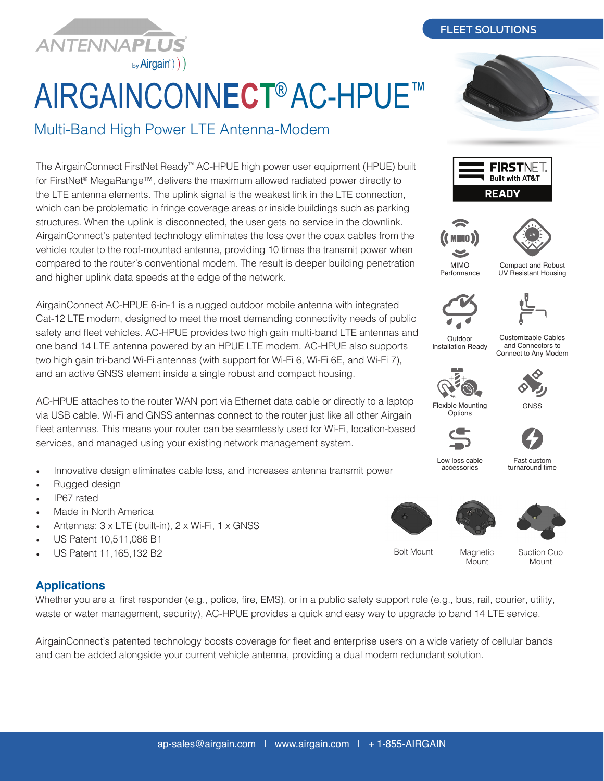

# AIRGAINCONN**ECT**® AC-HPUE™

Multi-Band High Power LTE Antenna-Modem

The AirgainConnect FirstNet Ready™ AC-HPUE high power user equipment (HPUE) built for FirstNet® MegaRange™, delivers the maximum allowed radiated power directly to the LTE antenna elements. The uplink signal is the weakest link in the LTE connection, which can be problematic in fringe coverage areas or inside buildings such as parking structures. When the uplink is disconnected, the user gets no service in the downlink. AirgainConnect's patented technology eliminates the loss over the coax cables from the vehicle router to the roof-mounted antenna, providing 10 times the transmit power when compared to the router's conventional modem. The result is deeper building penetration and higher uplink data speeds at the edge of the network.

AirgainConnect AC-HPUE 6-in-1 is a rugged outdoor mobile antenna with integrated Cat-12 LTE modem, designed to meet the most demanding connectivity needs of public safety and fleet vehicles. AC-HPUE provides two high gain multi-band LTE antennas and one band 14 LTE antenna powered by an HPUE LTE modem. AC-HPUE also supports two high gain tri-band Wi-Fi antennas (with support for Wi-Fi 6, Wi-Fi 6E, and Wi-Fi 7), and an active GNSS element inside a single robust and compact housing.

AC-HPUE attaches to the router WAN port via Ethernet data cable or directly to a laptop via USB cable. Wi-Fi and GNSS antennas connect to the router just like all other Airgain fleet antennas. This means your router can be seamlessly used for Wi-Fi, location-based services, and managed using your existing network management system.

- Innovative design eliminates cable loss, and increases antenna transmit power
- Rugged design
- IP67 rated
- Made in North America
- Antennas: 3 x LTE (built-in), 2 x Wi-Fi, 1 x GNSS
- US Patent 10,511,086 B1
- US Patent 11,165,132 B2

# **Applications**

Whether you are a first responder (e.g., police, fire, EMS), or in a public safety support role (e.g., bus, rail, courier, utility, waste or water management, security), AC-HPUE provides a quick and easy way to upgrade to band 14 LTE service.

AirgainConnect's patented technology boosts coverage for fleet and enterprise users on a wide variety of cellular bands and can be added alongside your current vehicle antenna, providing a dual modem redundant solution.

**FLEET SOLUTIONS**









Compact and Robust UV Resistant Housing



Outdoor Installation Ready

Customizable Cables and Connectors to Connect to Any Modem



**GNSS** 

Flexible Mounting **Options** 



Low loss cable accessories

Mount

Fast custom turnaround time





Bolt Mount Magnetic

Suction Cup Mount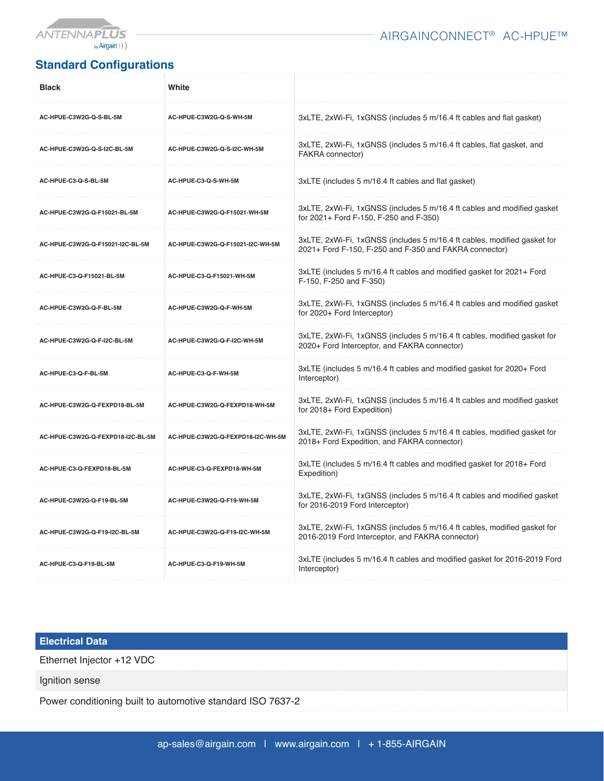

## AIRGAINCONNECT® AC-HPUE™

# **Standard Configurations**

| <b>Black</b>                      | White                                                                                                                           |                                                                                                                                    |
|-----------------------------------|---------------------------------------------------------------------------------------------------------------------------------|------------------------------------------------------------------------------------------------------------------------------------|
| AC-HPUE-C3W2G-Q-S-BL-5M           | AC-HPUE-C3W2G-Q-S-WH-5M                                                                                                         | 3xLTE, 2xWi-Fi, 1xGNSS (includes 5 m/16.4 ft cables and flat gasket)                                                               |
| AC-HPUE-C3W2G-Q-S-I2C-BL-5M       | 3xLTE, 2xWi-Fi, 1xGNSS (includes 5 m/16.4 ft cables, flat gasket, and<br>AC-HPUE-C3W2G-Q-S-I2C-WH-5M<br><b>FAKRA</b> connector) |                                                                                                                                    |
| AC-HPUE-C3-Q-S-BL-5M              | AC-HPUE-C3-Q-S-WH-5M                                                                                                            | 3xLTE (includes 5 m/16.4 ft cables and flat gasket)                                                                                |
| AC-HPUE-C3W2G-Q-F15021-BL-5M      | AC-HPUE-C3W2G-Q-F15021-WH-5M                                                                                                    | 3xLTE, 2xWi-Fi, 1xGNSS (includes 5 m/16.4 ft cables and modified gasket<br>for 2021+ Ford F-150, F-250 and F-350)                  |
| AC-HPUE-C3W2G-Q-F15021-I2C-BL-5M  | AC-HPUE-C3W2G-Q-F15021-I2C-WH-5M                                                                                                | 3xLTE, 2xWi-Fi, 1xGNSS (includes 5 m/16.4 ft cables, modified gasket for<br>2021+ Ford F-150, F-250 and F-350 and FAKRA connector) |
| AC-HPUE-C3-Q-F15021-BL-5M         | AC-HPUE-C3-Q-F15021-WH-5M                                                                                                       | 3xLTE (includes 5 m/16.4 ft cables and modified gasket for 2021+ Ford<br>F-150, F-250 and F-350)                                   |
| AC-HPUE-C3W2G-Q-F-BL-5M           | AC-HPUE-C3W2G-Q-F-WH-5M                                                                                                         | 3xLTE, 2xWi-Fi, 1xGNSS (includes 5 m/16.4 ft cables and modified gasket<br>for 2020+ Ford Interceptor)                             |
| AC-HPUE-C3W2G-Q-F-I2C-BL-5M       | AC-HPUE-C3W2G-Q-F-I2C-WH-5M                                                                                                     | 3xLTE, 2xWi-Fi, 1xGNSS (includes 5 m/16.4 ft cables, modified gasket for<br>2020+ Ford Interceptor, and FAKRA connector)           |
| AC-HPUE-C3-Q-F-BL-5M              | AC-HPUE-C3-Q-F-WH-5M                                                                                                            | 3xLTE (includes 5 m/16.4 ft cables and modified gasket for 2020+ Ford<br>Interceptor)                                              |
| AC-HPUE-C3W2G-Q-FEXPD18-BL-5M     | AC-HPUE-C3W2G-Q-FEXPD18-WH-5M                                                                                                   | 3xLTE, 2xWi-Fi, 1xGNSS (includes 5 m/16.4 ft cables and modified gasket<br>for 2018+ Ford Expedition)                              |
| AC-HPUE-C3W2G-Q-FEXPD18-I2C-BL-5M | AC-HPUE-C3W2G-Q-FEXPD18-I2C-WH-5M                                                                                               | 3xLTE, 2xWi-Fi, 1xGNSS (includes 5 m/16.4 ft cables, modified gasket for<br>2018+ Ford Expedition, and FAKRA connector)            |
| AC-HPUE-C3-Q-FEXPD18-BL-5M        | AC-HPUE-C3-Q-FEXPD18-WH-5M                                                                                                      | 3xLTE (includes 5 m/16.4 ft cables and modified gasket for 2018+ Ford<br>Expedition)                                               |
| AC-HPUE-C3W2G-Q-F19-BL-5M         | AC-HPUE-C3W2G-Q-F19-WH-5M                                                                                                       | 3xLTE, 2xWi-Fi, 1xGNSS (includes 5 m/16.4 ft cables and modified gasket<br>for 2016-2019 Ford Interceptor)                         |
| AC-HPUE-C3W2G-Q-F19-I2C-BL-5M     | AC-HPUE-C3W2G-Q-F19-I2C-WH-5M                                                                                                   | 3xLTE, 2xWi-Fi, 1xGNSS (includes 5 m/16.4 ft cables, modified gasket for<br>2016-2019 Ford Interceptor, and FAKRA connector)       |
| AC-HPUE-C3-Q-F19-BL-5M            | AC-HPUE-C3-Q-F19-WH-5M                                                                                                          | 3xLTE (includes 5 m/16.4 ft cables and modified gasket for 2016-2019 Ford<br>Interceptor)                                          |

## **Electrical Data**

Ethernet Injector +12 VDC

Ignition sense

Power conditioning built to automotive standard ISO 7637-2